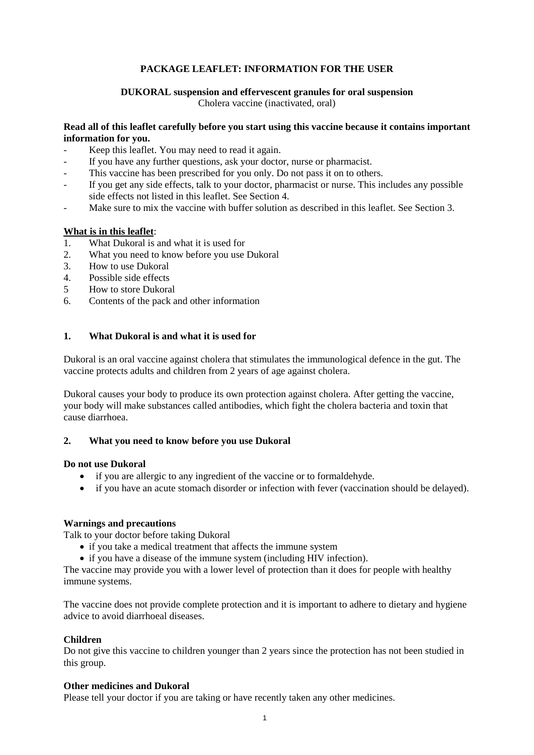# **PACKAGE LEAFLET: INFORMATION FOR THE USER**

# **DUKORAL suspension and effervescent granules for oral suspension**

Cholera vaccine (inactivated, oral)

### **Read all of this leaflet carefully before you start using this vaccine because it contains important information for you.**

- Keep this leaflet. You may need to read it again.
- If you have any further questions, ask your doctor, nurse or pharmacist.
- This vaccine has been prescribed for you only. Do not pass it on to others.
- If you get any side effects, talk to your doctor, pharmacist or nurse. This includes any possible side effects not listed in this leaflet. See Section 4.
- Make sure to mix the vaccine with buffer solution as described in this leaflet. See Section 3.

## **What is in this leaflet**:

- 1. What Dukoral is and what it is used for
- 2. What you need to know before you use Dukoral
- 3. How to use Dukoral
- 4. Possible side effects
- 5 How to store Dukoral
- 6. Contents of the pack and other information

### **1. What Dukoral is and what it is used for**

Dukoral is an oral vaccine against cholera that stimulates the immunological defence in the gut. The vaccine protects adults and children from 2 years of age against cholera.

Dukoral causes your body to produce its own protection against cholera. After getting the vaccine, your body will make substances called antibodies, which fight the cholera bacteria and toxin that cause diarrhoea.

### **2. What you need to know before you use Dukoral**

### **Do not use Dukoral**

- if you are allergic to any ingredient of the vaccine or to formaldehyde.
- if you have an acute stomach disorder or infection with fever (vaccination should be delayed).

### **Warnings and precautions**

Talk to your doctor before taking Dukoral

- if you take a medical treatment that affects the immune system
- if you have a disease of the immune system (including HIV infection).

The vaccine may provide you with a lower level of protection than it does for people with healthy immune systems.

The vaccine does not provide complete protection and it is important to adhere to dietary and hygiene advice to avoid diarrhoeal diseases.

### **Children**

Do not give this vaccine to children younger than 2 years since the protection has not been studied in this group.

### **Other medicines and Dukoral**

Please tell your doctor if you are taking or have recently taken any other medicines.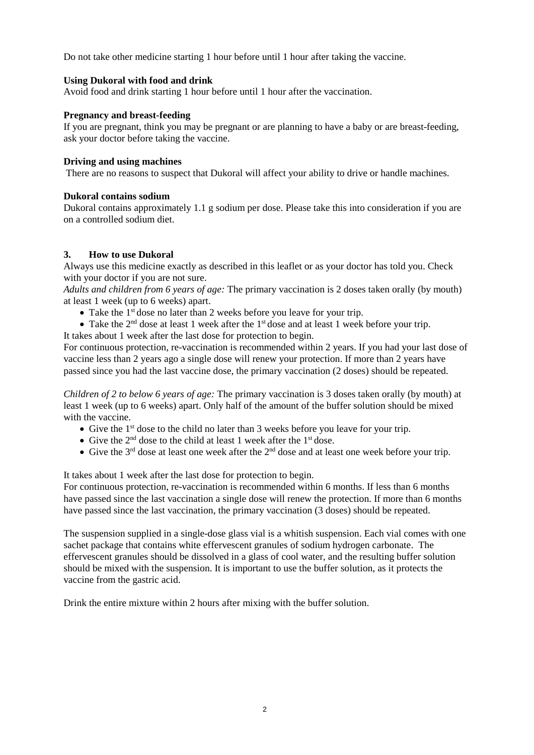Do not take other medicine starting 1 hour before until 1 hour after taking the vaccine.

### **Using Dukoral with food and drink**

Avoid food and drink starting 1 hour before until 1 hour after the vaccination.

### **Pregnancy and breast-feeding**

If you are pregnant, think you may be pregnant or are planning to have a baby or are breast-feeding, ask your doctor before taking the vaccine.

### **Driving and using machines**

There are no reasons to suspect that Dukoral will affect your ability to drive or handle machines.

### **Dukoral contains sodium**

Dukoral contains approximately 1.1 g sodium per dose. Please take this into consideration if you are on a controlled sodium diet.

### **3. How to use Dukoral**

Always use this medicine exactly as described in this leaflet or as your doctor has told you. Check with your doctor if you are not sure.

*Adults and children from 6 years of age:* The primary vaccination is 2 doses taken orally (by mouth) at least 1 week (up to 6 weeks) apart.

- Take the  $1<sup>st</sup>$  dose no later than 2 weeks before you leave for your trip.
- Take the  $2<sup>nd</sup>$  dose at least 1 week after the 1<sup>st</sup> dose and at least 1 week before your trip. It takes about 1 week after the last dose for protection to begin.

For continuous protection, re-vaccination is recommended within 2 years. If you had your last dose of vaccine less than 2 years ago a single dose will renew your protection. If more than 2 years have passed since you had the last vaccine dose, the primary vaccination (2 doses) should be repeated.

*Children of 2 to below 6 years of age:* The primary vaccination is 3 doses taken orally (by mouth) at least 1 week (up to 6 weeks) apart. Only half of the amount of the buffer solution should be mixed with the vaccine.

- Give the 1<sup>st</sup> dose to the child no later than 3 weeks before you leave for your trip.
- Give the  $2<sup>nd</sup>$  dose to the child at least 1 week after the  $1<sup>st</sup>$  dose.
- Give the  $3<sup>rd</sup>$  dose at least one week after the  $2<sup>nd</sup>$  dose and at least one week before your trip.

It takes about 1 week after the last dose for protection to begin.

For continuous protection, re-vaccination is recommended within 6 months. If less than 6 months have passed since the last vaccination a single dose will renew the protection. If more than 6 months have passed since the last vaccination, the primary vaccination (3 doses) should be repeated.

The suspension supplied in a single-dose glass vial is a whitish suspension. Each vial comes with one sachet package that contains white effervescent granules of sodium hydrogen carbonate. The effervescent granules should be dissolved in a glass of cool water, and the resulting buffer solution should be mixed with the suspension. It is important to use the buffer solution, as it protects the vaccine from the gastric acid.

Drink the entire mixture within 2 hours after mixing with the buffer solution.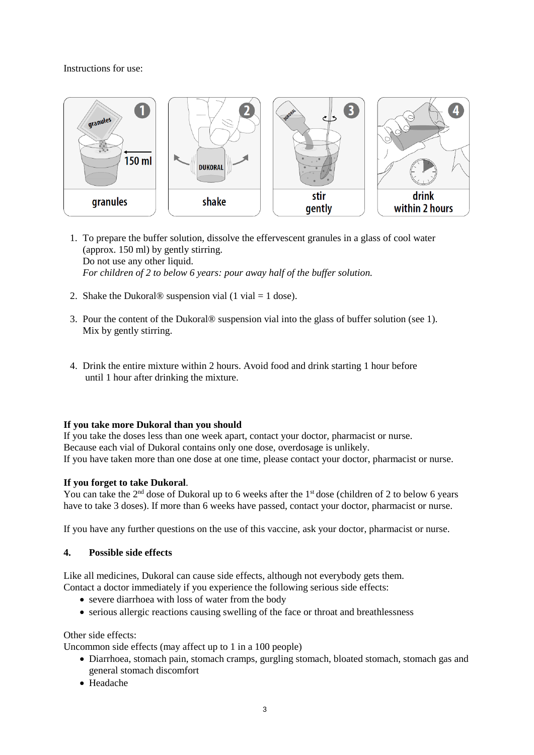### Instructions for use:



- 1. To prepare the buffer solution, dissolve the effervescent granules in a glass of cool water (approx. 150 ml) by gently stirring. Do not use any other liquid. *For children of 2 to below 6 years: pour away half of the buffer solution.*
- 2. Shake the Dukoral<sup>®</sup> suspension vial  $(1 \text{ vial} = 1 \text{ dose})$ .
- 3. Pour the content of the Dukoral® suspension vial into the glass of buffer solution (see 1). Mix by gently stirring.
- 4. Drink the entire mixture within 2 hours. Avoid food and drink starting 1 hour before until 1 hour after drinking the mixture.

### **If you take more Dukoral than you should**

If you take the doses less than one week apart, contact your doctor, pharmacist or nurse. Because each vial of Dukoral contains only one dose, overdosage is unlikely. If you have taken more than one dose at one time, please contact your doctor, pharmacist or nurse.

## **If you forget to take Dukoral**.

You can take the  $2<sup>nd</sup>$  dose of Dukoral up to 6 weeks after the 1<sup>st</sup> dose (children of 2 to below 6 years have to take 3 doses). If more than 6 weeks have passed, contact your doctor, pharmacist or nurse.

If you have any further questions on the use of this vaccine, ask your doctor, pharmacist or nurse.

### **4. Possible side effects**

Like all medicines, Dukoral can cause side effects, although not everybody gets them. Contact a doctor immediately if you experience the following serious side effects:

- severe diarrhoea with loss of water from the body
- serious allergic reactions causing swelling of the face or throat and breathlessness

### Other side effects:

Uncommon side effects (may affect up to 1 in a 100 people)

- Diarrhoea, stomach pain, stomach cramps, gurgling stomach, bloated stomach, stomach gas and general stomach discomfort
- Headache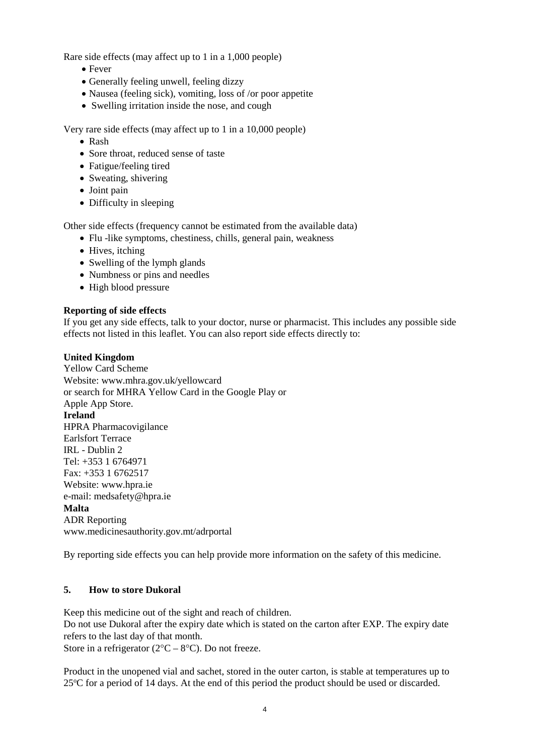Rare side effects (may affect up to 1 in a 1,000 people)

- Fever
- Generally feeling unwell, feeling dizzy
- Nausea (feeling sick), vomiting, loss of /or poor appetite
- Swelling irritation inside the nose, and cough

Very rare side effects (may affect up to 1 in a 10,000 people)

- Rash
- Sore throat, reduced sense of taste
- Fatigue/feeling tired
- Sweating, shivering
- Joint pain
- Difficulty in sleeping

Other side effects (frequency cannot be estimated from the available data)

- Flu -like symptoms, chestiness, chills, general pain, weakness
- Hives, itching
- Swelling of the lymph glands
- Numbness or pins and needles
- High blood pressure

### **Reporting of side effects**

If you get any side effects, talk to your doctor, nurse or pharmacist. This includes any possible side effects not listed in this leaflet. You can also report side effects directly to:

### **United Kingdom**

Yellow Card Scheme Website: www.mhra.gov.uk/yellowcard or search for MHRA Yellow Card in the Google Play or Apple App Store. **Ireland** HPRA Pharmacovigilance Earlsfort Terrace IRL - Dublin 2 Tel: +353 1 6764971 Fax: +353 1 6762517 Website: www.hpra.ie e-mail: medsafety@hpra.ie **Malta** ADR Reporting www.medicinesauthority.gov.mt/adrportal

By reporting side effects you can help provide more information on the safety of this medicine.

### **5. How to store Dukoral**

Keep this medicine out of the sight and reach of children.

Do not use Dukoral after the expiry date which is stated on the carton after EXP. The expiry date refers to the last day of that month.

Store in a refrigerator  $(2^{\circ}C - 8^{\circ}C)$ . Do not freeze.

Product in the unopened vial and sachet, stored in the outer carton, is stable at temperatures up to 25 °C for a period of 14 days. At the end of this period the product should be used or discarded.